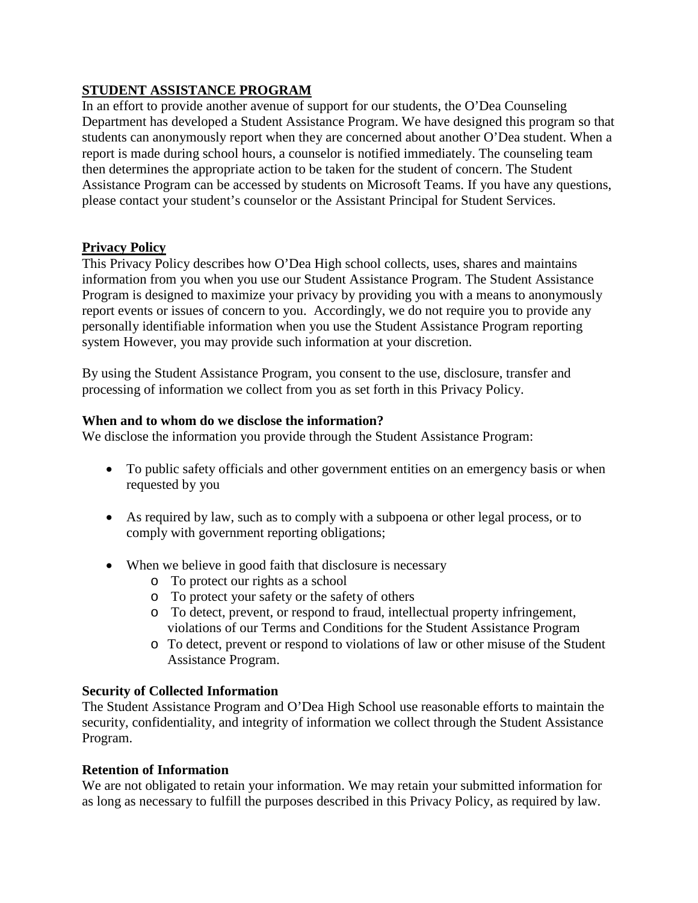## **STUDENT ASSISTANCE PROGRAM**

In an effort to provide another avenue of support for our students, the O'Dea Counseling Department has developed a Student Assistance Program. We have designed this program so that students can anonymously report when they are concerned about another O'Dea student. When a report is made during school hours, a counselor is notified immediately. The counseling team then determines the appropriate action to be taken for the student of concern. The Student Assistance Program can be accessed by students on Microsoft Teams. If you have any questions, please contact your student's counselor or the Assistant Principal for Student Services.

# **Privacy Policy**

This Privacy Policy describes how O'Dea High school collects, uses, shares and maintains information from you when you use our Student Assistance Program. The Student Assistance Program is designed to maximize your privacy by providing you with a means to anonymously report events or issues of concern to you. Accordingly, we do not require you to provide any personally identifiable information when you use the Student Assistance Program reporting system However, you may provide such information at your discretion.

By using the Student Assistance Program, you consent to the use, disclosure, transfer and processing of information we collect from you as set forth in this Privacy Policy.

## **When and to whom do we disclose the information?**

We disclose the information you provide through the Student Assistance Program:

- To public safety officials and other government entities on an emergency basis or when requested by you
- As required by law, such as to comply with a subpoena or other legal process, or to comply with government reporting obligations;
- When we believe in good faith that disclosure is necessary
	- o To protect our rights as a school
	- o To protect your safety or the safety of others
	- o To detect, prevent, or respond to fraud, intellectual property infringement, violations of our Terms and Conditions for the Student Assistance Program
	- o To detect, prevent or respond to violations of law or other misuse of the Student Assistance Program.

# **Security of Collected Information**

The Student Assistance Program and O'Dea High School use reasonable efforts to maintain the security, confidentiality, and integrity of information we collect through the Student Assistance Program.

## **Retention of Information**

We are not obligated to retain your information. We may retain your submitted information for as long as necessary to fulfill the purposes described in this Privacy Policy, as required by law.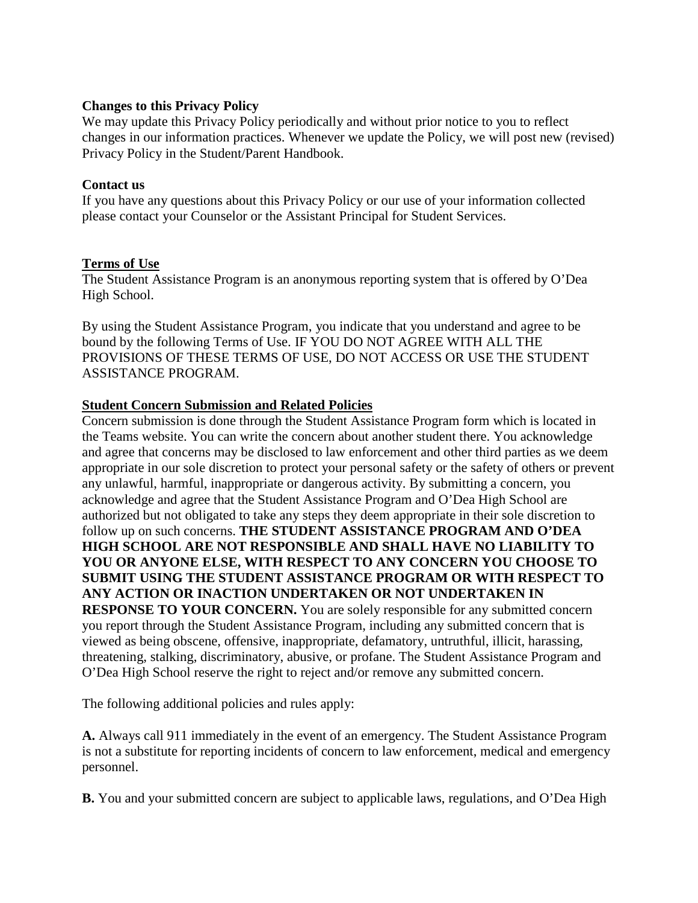#### **Changes to this Privacy Policy**

We may update this Privacy Policy periodically and without prior notice to you to reflect changes in our information practices. Whenever we update the Policy, we will post new (revised) Privacy Policy in the Student/Parent Handbook.

### **Contact us**

If you have any questions about this Privacy Policy or our use of your information collected please contact your Counselor or the Assistant Principal for Student Services.

### **Terms of Use**

The Student Assistance Program is an anonymous reporting system that is offered by O'Dea High School.

By using the Student Assistance Program, you indicate that you understand and agree to be bound by the following Terms of Use. IF YOU DO NOT AGREE WITH ALL THE PROVISIONS OF THESE TERMS OF USE, DO NOT ACCESS OR USE THE STUDENT ASSISTANCE PROGRAM.

### **Student Concern Submission and Related Policies**

Concern submission is done through the Student Assistance Program form which is located in the Teams website. You can write the concern about another student there. You acknowledge and agree that concerns may be disclosed to law enforcement and other third parties as we deem appropriate in our sole discretion to protect your personal safety or the safety of others or prevent any unlawful, harmful, inappropriate or dangerous activity. By submitting a concern, you acknowledge and agree that the Student Assistance Program and O'Dea High School are authorized but not obligated to take any steps they deem appropriate in their sole discretion to follow up on such concerns. **THE STUDENT ASSISTANCE PROGRAM AND O'DEA HIGH SCHOOL ARE NOT RESPONSIBLE AND SHALL HAVE NO LIABILITY TO YOU OR ANYONE ELSE, WITH RESPECT TO ANY CONCERN YOU CHOOSE TO SUBMIT USING THE STUDENT ASSISTANCE PROGRAM OR WITH RESPECT TO ANY ACTION OR INACTION UNDERTAKEN OR NOT UNDERTAKEN IN RESPONSE TO YOUR CONCERN.** You are solely responsible for any submitted concern you report through the Student Assistance Program, including any submitted concern that is viewed as being obscene, offensive, inappropriate, defamatory, untruthful, illicit, harassing, threatening, stalking, discriminatory, abusive, or profane. The Student Assistance Program and O'Dea High School reserve the right to reject and/or remove any submitted concern.

The following additional policies and rules apply:

**A.** Always call 911 immediately in the event of an emergency. The Student Assistance Program is not a substitute for reporting incidents of concern to law enforcement, medical and emergency personnel.

**B.** You and your submitted concern are subject to applicable laws, regulations, and O'Dea High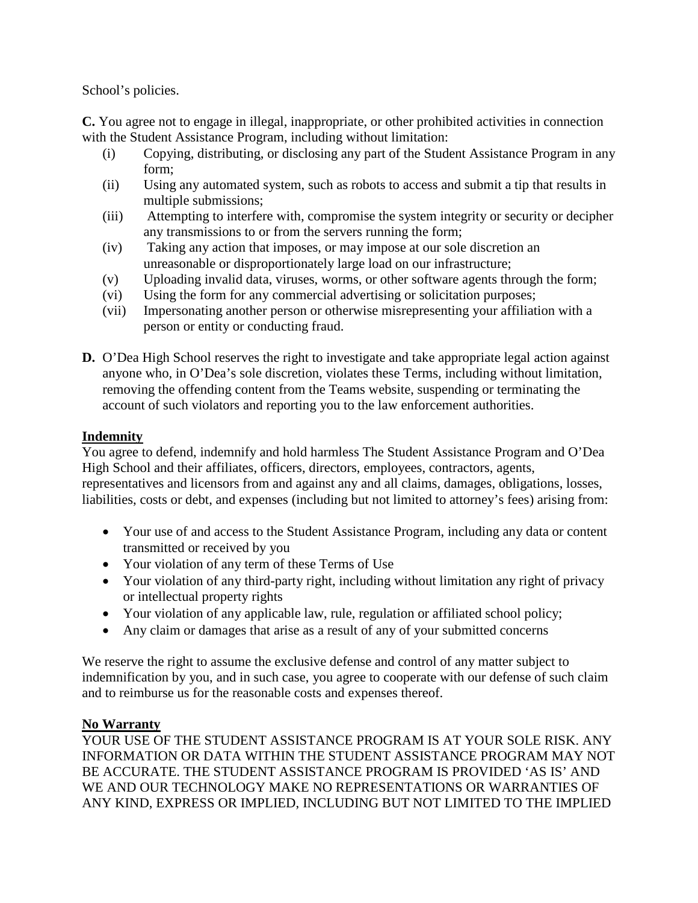School's policies.

**C.** You agree not to engage in illegal, inappropriate, or other prohibited activities in connection with the Student Assistance Program, including without limitation:

- (i) Copying, distributing, or disclosing any part of the Student Assistance Program in any form;
- (ii) Using any automated system, such as robots to access and submit a tip that results in multiple submissions;
- (iii) Attempting to interfere with, compromise the system integrity or security or decipher any transmissions to or from the servers running the form;
- (iv) Taking any action that imposes, or may impose at our sole discretion an unreasonable or disproportionately large load on our infrastructure;
- (v) Uploading invalid data, viruses, worms, or other software agents through the form;
- (vi) Using the form for any commercial advertising or solicitation purposes;
- (vii) Impersonating another person or otherwise misrepresenting your affiliation with a person or entity or conducting fraud.
- **D.** O'Dea High School reserves the right to investigate and take appropriate legal action against anyone who, in O'Dea's sole discretion, violates these Terms, including without limitation, removing the offending content from the Teams website, suspending or terminating the account of such violators and reporting you to the law enforcement authorities.

## **Indemnity**

You agree to defend, indemnify and hold harmless The Student Assistance Program and O'Dea High School and their affiliates, officers, directors, employees, contractors, agents, representatives and licensors from and against any and all claims, damages, obligations, losses, liabilities, costs or debt, and expenses (including but not limited to attorney's fees) arising from:

- Your use of and access to the Student Assistance Program, including any data or content transmitted or received by you
- Your violation of any term of these Terms of Use
- Your violation of any third-party right, including without limitation any right of privacy or intellectual property rights
- Your violation of any applicable law, rule, regulation or affiliated school policy;
- Any claim or damages that arise as a result of any of your submitted concerns

We reserve the right to assume the exclusive defense and control of any matter subject to indemnification by you, and in such case, you agree to cooperate with our defense of such claim and to reimburse us for the reasonable costs and expenses thereof.

## **No Warranty**

YOUR USE OF THE STUDENT ASSISTANCE PROGRAM IS AT YOUR SOLE RISK. ANY INFORMATION OR DATA WITHIN THE STUDENT ASSISTANCE PROGRAM MAY NOT BE ACCURATE. THE STUDENT ASSISTANCE PROGRAM IS PROVIDED 'AS IS' AND WE AND OUR TECHNOLOGY MAKE NO REPRESENTATIONS OR WARRANTIES OF ANY KIND, EXPRESS OR IMPLIED, INCLUDING BUT NOT LIMITED TO THE IMPLIED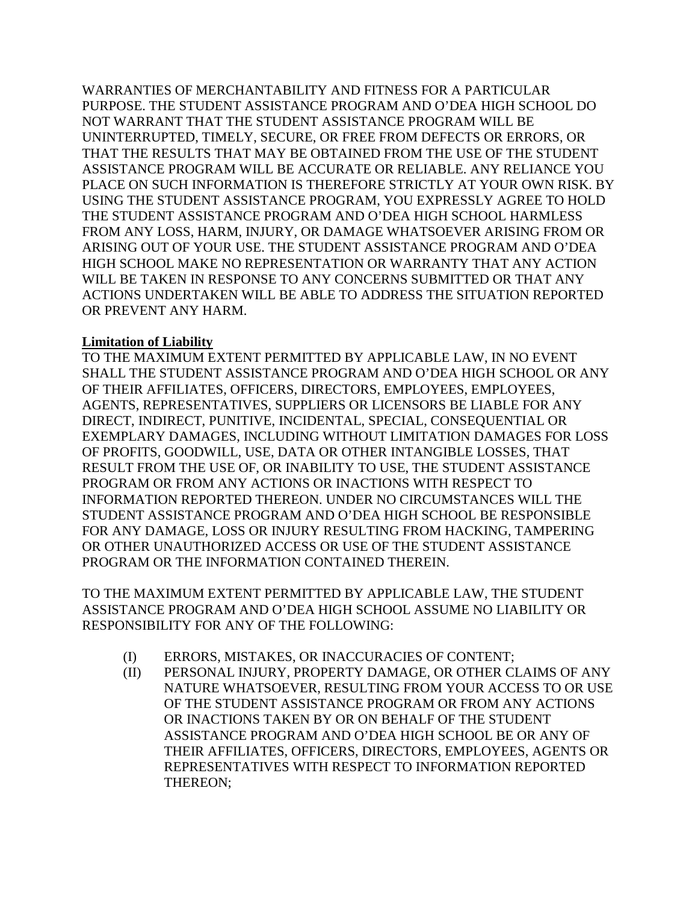WARRANTIES OF MERCHANTABILITY AND FITNESS FOR A PARTICULAR PURPOSE. THE STUDENT ASSISTANCE PROGRAM AND O'DEA HIGH SCHOOL DO NOT WARRANT THAT THE STUDENT ASSISTANCE PROGRAM WILL BE UNINTERRUPTED, TIMELY, SECURE, OR FREE FROM DEFECTS OR ERRORS, OR THAT THE RESULTS THAT MAY BE OBTAINED FROM THE USE OF THE STUDENT ASSISTANCE PROGRAM WILL BE ACCURATE OR RELIABLE. ANY RELIANCE YOU PLACE ON SUCH INFORMATION IS THEREFORE STRICTLY AT YOUR OWN RISK. BY USING THE STUDENT ASSISTANCE PROGRAM, YOU EXPRESSLY AGREE TO HOLD THE STUDENT ASSISTANCE PROGRAM AND O'DEA HIGH SCHOOL HARMLESS FROM ANY LOSS, HARM, INJURY, OR DAMAGE WHATSOEVER ARISING FROM OR ARISING OUT OF YOUR USE. THE STUDENT ASSISTANCE PROGRAM AND O'DEA HIGH SCHOOL MAKE NO REPRESENTATION OR WARRANTY THAT ANY ACTION WILL BE TAKEN IN RESPONSE TO ANY CONCERNS SUBMITTED OR THAT ANY ACTIONS UNDERTAKEN WILL BE ABLE TO ADDRESS THE SITUATION REPORTED OR PREVENT ANY HARM.

#### **Limitation of Liability**

TO THE MAXIMUM EXTENT PERMITTED BY APPLICABLE LAW, IN NO EVENT SHALL THE STUDENT ASSISTANCE PROGRAM AND O'DEA HIGH SCHOOL OR ANY OF THEIR AFFILIATES, OFFICERS, DIRECTORS, EMPLOYEES, EMPLOYEES, AGENTS, REPRESENTATIVES, SUPPLIERS OR LICENSORS BE LIABLE FOR ANY DIRECT, INDIRECT, PUNITIVE, INCIDENTAL, SPECIAL, CONSEQUENTIAL OR EXEMPLARY DAMAGES, INCLUDING WITHOUT LIMITATION DAMAGES FOR LOSS OF PROFITS, GOODWILL, USE, DATA OR OTHER INTANGIBLE LOSSES, THAT RESULT FROM THE USE OF, OR INABILITY TO USE, THE STUDENT ASSISTANCE PROGRAM OR FROM ANY ACTIONS OR INACTIONS WITH RESPECT TO INFORMATION REPORTED THEREON. UNDER NO CIRCUMSTANCES WILL THE STUDENT ASSISTANCE PROGRAM AND O'DEA HIGH SCHOOL BE RESPONSIBLE FOR ANY DAMAGE, LOSS OR INJURY RESULTING FROM HACKING, TAMPERING OR OTHER UNAUTHORIZED ACCESS OR USE OF THE STUDENT ASSISTANCE PROGRAM OR THE INFORMATION CONTAINED THEREIN.

TO THE MAXIMUM EXTENT PERMITTED BY APPLICABLE LAW, THE STUDENT ASSISTANCE PROGRAM AND O'DEA HIGH SCHOOL ASSUME NO LIABILITY OR RESPONSIBILITY FOR ANY OF THE FOLLOWING:

- (I) ERRORS, MISTAKES, OR INACCURACIES OF CONTENT;
- (II) PERSONAL INJURY, PROPERTY DAMAGE, OR OTHER CLAIMS OF ANY NATURE WHATSOEVER, RESULTING FROM YOUR ACCESS TO OR USE OF THE STUDENT ASSISTANCE PROGRAM OR FROM ANY ACTIONS OR INACTIONS TAKEN BY OR ON BEHALF OF THE STUDENT ASSISTANCE PROGRAM AND O'DEA HIGH SCHOOL BE OR ANY OF THEIR AFFILIATES, OFFICERS, DIRECTORS, EMPLOYEES, AGENTS OR REPRESENTATIVES WITH RESPECT TO INFORMATION REPORTED THEREON;